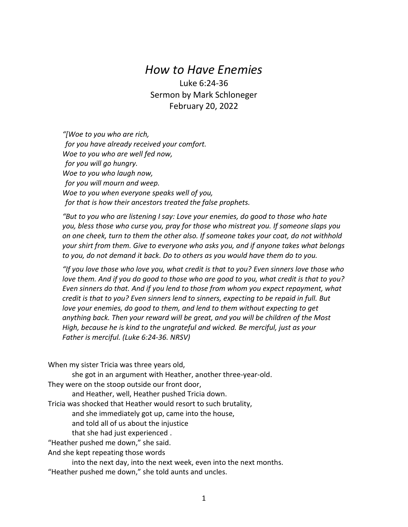## *How to Have Enemies*

Luke 6:24-36 Sermon by Mark Schloneger February 20, 2022

*"[Woe to you who are rich, for you have already received your comfort. Woe to you who are well fed now, for you will go hungry. Woe to you who laugh now, for you will mourn and weep. Woe to you when everyone speaks well of you, for that is how their ancestors treated the false prophets.*

*"But to you who are listening I say: Love your enemies, do good to those who hate you, bless those who curse you, pray for those who mistreat you. If someone slaps you on one cheek, turn to them the other also. If someone takes your coat, do not withhold your shirt from them. Give to everyone who asks you, and if anyone takes what belongs to you, do not demand it back. Do to others as you would have them do to you.*

*"If you love those who love you, what credit is that to you? Even sinners love those who love them. And if you do good to those who are good to you, what credit is that to you? Even sinners do that. And if you lend to those from whom you expect repayment, what credit is that to you? Even sinners lend to sinners, expecting to be repaid in full. But love your enemies, do good to them, and lend to them without expecting to get anything back. Then your reward will be great, and you will be children of the Most High, because he is kind to the ungrateful and wicked. Be merciful, just as your Father is merciful. (Luke 6:24-36. NRSV)*

When my sister Tricia was three years old,

she got in an argument with Heather, another three-year-old. They were on the stoop outside our front door,

and Heather, well, Heather pushed Tricia down.

Tricia was shocked that Heather would resort to such brutality,

and she immediately got up, came into the house,

and told all of us about the injustice

that she had just experienced .

"Heather pushed me down," she said.

And she kept repeating those words

into the next day, into the next week, even into the next months. "Heather pushed me down," she told aunts and uncles.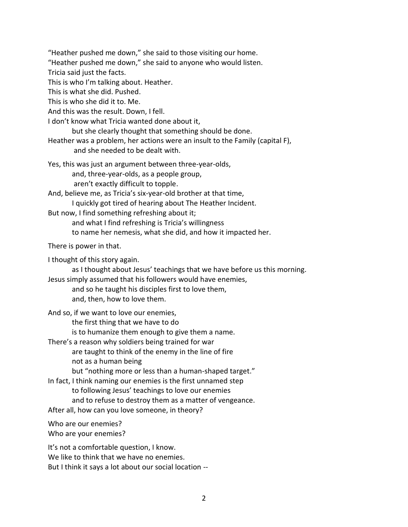"Heather pushed me down," she said to those visiting our home.

"Heather pushed me down," she said to anyone who would listen.

Tricia said just the facts.

This is who I'm talking about. Heather.

This is what she did. Pushed.

This is who she did it to. Me.

And this was the result. Down, I fell.

I don't know what Tricia wanted done about it,

but she clearly thought that something should be done.

Heather was a problem, her actions were an insult to the Family (capital F), and she needed to be dealt with.

Yes, this was just an argument between three-year-olds, and, three-year-olds, as a people group, aren't exactly difficult to topple.

And, believe me, as Tricia's six-year-old brother at that time, I quickly got tired of hearing about The Heather Incident.

But now, I find something refreshing about it;

and what I find refreshing is Tricia's willingness

to name her nemesis, what she did, and how it impacted her.

There is power in that.

I thought of this story again.

as I thought about Jesus' teachings that we have before us this morning.

Jesus simply assumed that his followers would have enemies, and so he taught his disciples first to love them,

and, then, how to love them.

And so, if we want to love our enemies, the first thing that we have to do is to humanize them enough to give them a name.

There's a reason why soldiers being trained for war

are taught to think of the enemy in the line of fire not as a human being

but "nothing more or less than a human-shaped target."

In fact, I think naming our enemies is the first unnamed step to following Jesus' teachings to love our enemies and to refuse to destroy them as a matter of vengeance. After all, how can you love someone, in theory?

Who are our enemies?

Who are your enemies?

It's not a comfortable question, I know. We like to think that we have no enemies. But I think it says a lot about our social location --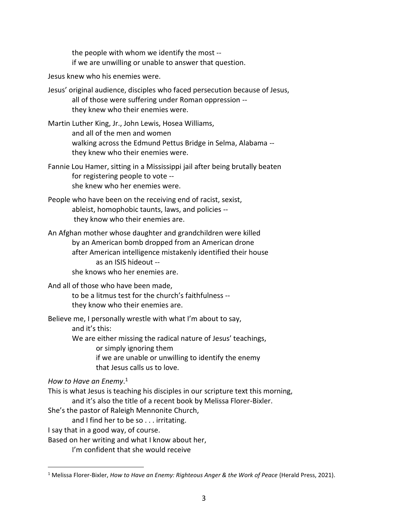the people with whom we identify the most - if we are unwilling or unable to answer that question.

Jesus knew who his enemies were.

Jesus' original audience, disciples who faced persecution because of Jesus, all of those were suffering under Roman oppression - they knew who their enemies were.

Martin Luther King, Jr., John Lewis, Hosea Williams, and all of the men and women walking across the Edmund Pettus Bridge in Selma, Alabama - they knew who their enemies were.

Fannie Lou Hamer, sitting in a Mississippi jail after being brutally beaten for registering people to vote - she knew who her enemies were.

People who have been on the receiving end of racist, sexist, ableist, homophobic taunts, laws, and policies - they know who their enemies are.

An Afghan mother whose daughter and grandchildren were killed by an American bomb dropped from an American drone after American intelligence mistakenly identified their house as an ISIS hideout - she knows who her enemies are.

## And all of those who have been made,

to be a litmus test for the church's faithfulness - they know who their enemies are.

Believe me, I personally wrestle with what I'm about to say, and it's this: We are either missing the radical nature of Jesus' teachings, or simply ignoring them if we are unable or unwilling to identify the enemy that Jesus calls us to love.

*How to Have an Enemy*. 1

 $\overline{a}$ 

This is what Jesus is teaching his disciples in our scripture text this morning,

and it's also the title of a recent book by Melissa Florer-Bixler.

She's the pastor of Raleigh Mennonite Church,

and I find her to be so . . . irritating.

I say that in a good way, of course.

Based on her writing and what I know about her,

I'm confident that she would receive

<sup>1</sup> Melissa Florer-Bixler, *How to Have an Enemy: Righteous Anger & the Work of Peace* (Herald Press, 2021).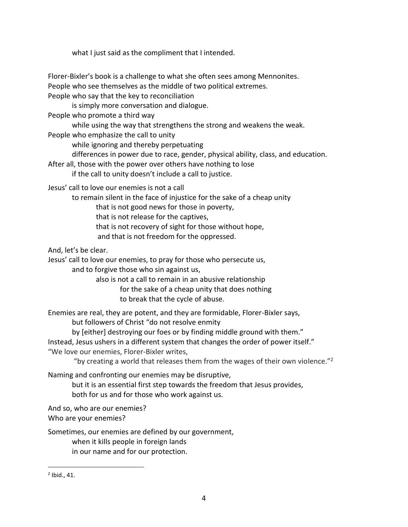what I just said as the compliment that I intended.

Florer-Bixler's book is a challenge to what she often sees among Mennonites. People who see themselves as the middle of two political extremes.

People who say that the key to reconciliation

is simply more conversation and dialogue.

People who promote a third way

while using the way that strengthens the strong and weakens the weak.

People who emphasize the call to unity

while ignoring and thereby perpetuating

differences in power due to race, gender, physical ability, class, and education.

After all, those with the power over others have nothing to lose

if the call to unity doesn't include a call to justice.

Jesus' call to love our enemies is not a call

to remain silent in the face of injustice for the sake of a cheap unity

that is not good news for those in poverty,

that is not release for the captives,

that is not recovery of sight for those without hope,

and that is not freedom for the oppressed.

And, let's be clear.

Jesus' call to love our enemies, to pray for those who persecute us, and to forgive those who sin against us,

> also is not a call to remain in an abusive relationship for the sake of a cheap unity that does nothing to break that the cycle of abuse.

Enemies are real, they are potent, and they are formidable, Florer-Bixler says, but followers of Christ "do not resolve enmity

by [either] destroying our foes or by finding middle ground with them."

Instead, Jesus ushers in a different system that changes the order of power itself."

"We love our enemies, Florer-Bixler writes,

"by creating a world that releases them from the wages of their own violence." $2$ 

Naming and confronting our enemies may be disruptive,

but it is an essential first step towards the freedom that Jesus provides, both for us and for those who work against us.

And so, who are our enemies? Who are your enemies?

Sometimes, our enemies are defined by our government, when it kills people in foreign lands in our name and for our protection.

 $\overline{a}$ 

 $<sup>2</sup>$  Ibid., 41.</sup>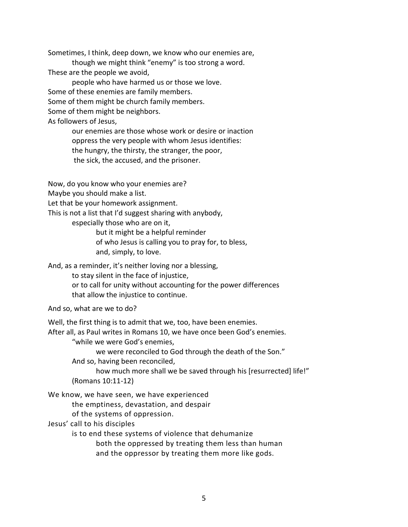Sometimes, I think, deep down, we know who our enemies are,

though we might think "enemy" is too strong a word. These are the people we avoid,

people who have harmed us or those we love. Some of these enemies are family members. Some of them might be church family members. Some of them might be neighbors. As followers of Jesus,

> our enemies are those whose work or desire or inaction oppress the very people with whom Jesus identifies: the hungry, the thirsty, the stranger, the poor, the sick, the accused, and the prisoner.

Now, do you know who your enemies are?

Maybe you should make a list.

Let that be your homework assignment.

This is not a list that I'd suggest sharing with anybody,

especially those who are on it,

but it might be a helpful reminder

of who Jesus is calling you to pray for, to bless,

and, simply, to love.

And, as a reminder, it's neither loving nor a blessing,

to stay silent in the face of injustice,

or to call for unity without accounting for the power differences that allow the injustice to continue.

And so, what are we to do?

Well, the first thing is to admit that we, too, have been enemies.

After all, as Paul writes in Romans 10, we have once been God's enemies.

"while we were God's enemies,

we were reconciled to God through the death of the Son."

And so, having been reconciled,

how much more shall we be saved through his [resurrected] life!" (Romans 10:11-12)

We know, we have seen, we have experienced

the emptiness, devastation, and despair

of the systems of oppression.

Jesus' call to his disciples

is to end these systems of violence that dehumanize both the oppressed by treating them less than human

and the oppressor by treating them more like gods.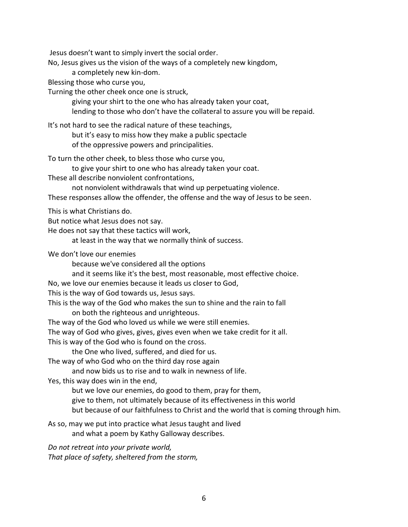Jesus doesn't want to simply invert the social order.

No, Jesus gives us the vision of the ways of a completely new kingdom,

a completely new kin-dom.

Blessing those who curse you,

Turning the other cheek once one is struck,

giving your shirt to the one who has already taken your coat,

lending to those who don't have the collateral to assure you will be repaid.

It's not hard to see the radical nature of these teachings,

but it's easy to miss how they make a public spectacle of the oppressive powers and principalities.

To turn the other cheek, to bless those who curse you,

to give your shirt to one who has already taken your coat.

These all describe nonviolent confrontations,

not nonviolent withdrawals that wind up perpetuating violence.

These responses allow the offender, the offense and the way of Jesus to be seen.

This is what Christians do.

But notice what Jesus does not say.

He does not say that these tactics will work,

at least in the way that we normally think of success.

We don't love our enemies

because we've considered all the options

and it seems like it's the best, most reasonable, most effective choice.

No, we love our enemies because it leads us closer to God,

This is the way of God towards us, Jesus says.

This is the way of the God who makes the sun to shine and the rain to fall on both the righteous and unrighteous.

The way of the God who loved us while we were still enemies.

The way of God who gives, gives, gives even when we take credit for it all.

This is way of the God who is found on the cross.

the One who lived, suffered, and died for us.

The way of who God who on the third day rose again

and now bids us to rise and to walk in newness of life.

Yes, this way does win in the end,

but we love our enemies, do good to them, pray for them,

give to them, not ultimately because of its effectiveness in this world

but because of our faithfulness to Christ and the world that is coming through him.

As so, may we put into practice what Jesus taught and lived and what a poem by Kathy Galloway describes.

*Do not retreat into your private world, That place of safety, sheltered from the storm,*